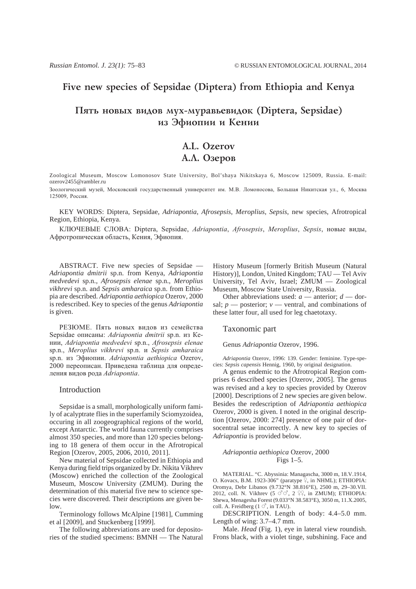## Five new species of Sepsidae (Diptera) from Ethiopia and Kenya

# Пять новых видов мух-муравьевидок (Diptera, Sepsidae) из Эфиопии и Кении

# A.L. Ozerov А.Л. Озеров

Zoological Museum, Moscow Lomonosov State University, Bol'shaya Nikitskaya 6, Moscow 125009, Russia. E-mail: ozerov2455@rambler.ru

Зоологический музей, Московский государственный университет им. М.В. Ломоносова, Большая Никитская ул., 6, Москва 125009, Россия.

KEY WORDS: Diptera, Sepsidae, *Adriapontia*, *Afrosepsis*, *Meroplius*, *Sepsis*, new species, Afrotropical Region, Ethiopia, Kenya.

КЛЮЧЕВЫЕ СЛОВА: Diptera, Sepsidae, Adriapontia, Afrosepsis, Meroplius, Sepsis, новые виды, Афротропическая область, Кения, Эфиопия.

ABSTRACT. Five new species of Sepsidae — *Adriapontia dmitrii* sp.n. from Kenya, *Adriapontia medvedevi* sp.n., *Afrosepsis elenae* sp.n., *Meroplius vikhrevi* sp.n. and *Sepsis amharaica* sp.n. from Ethiopia are described. *Adriapontia aethiopica* Ozerov, 2000 is redescribed. Key to species of the genus *Adriapontia* is given.

РЕЗЮМЕ. Пять новых видов из семейства Sepsidae описаны: Adriapontia dmitrii sp.n. из Кении, Adriapontia medvedevi sp.n., Afrosepsis elenae sp.n., Meroplius vikhrevi sp.n. и Sepsis amharaica sp.n. из Эфиопии. Adriapontia aethiopica Ozerov, 2000 переописан. Приведена таблица для определения видов рода Adriapontia.

## Introduction

Sepsidae is a small, morphologically uniform family of acalyptrate flies in the superfamily Sciomyzoidea, occuring in all zoogeographical regions of the world, except Antarctic. The world fauna currently comprises almost 350 species, and more than 120 species belonging to 18 genera of them occur in the Afrotropical Region [Ozerov, 2005, 2006, 2010, 2011].

New material of Sepsidae collected in Ethiopia and Kenya during field trips organized by Dr. Nikita Vikhrev (Moscow) enriched the collection of the Zoological Museum, Moscow University (ZMUM). During the determination of this material five new to science species were discovered. Their descriptions are given below.

Terminology follows McAlpine [1981], Cumming et al [2009], and Stuckenberg [1999].

The following abbreviations are used for depositories of the studied specimens: BMNH — The Natural History Museum [formerly British Museum (Natural History)], London, United Kingdom; TAU — Tel Aviv University, Tel Aviv, Israel; ZMUM — Zoological Museum, Moscow State University, Russia.

Other abbreviations used: *a* — anterior; *d* — dorsal;  $p$  — posterior;  $v$  — ventral, and combinations of these latter four, all used for leg chaetotaxy.

#### Taxonomic part

Genus *Adriapontia* Ozerov, 1996.

*Adriapontia* Ozerov, 1996: 139. Gender: feminine. Type-species: *Sepsis capensis* Hennig, 1960, by original designation.

A genus endemic to the Afrotropical Region comprises 6 described species [Ozerov, 2005]. The genus was revised and a key to species provided by Ozerov [2000]. Descriptions of 2 new species are given below. Besides the redescription of *Adriapontia aethiopica* Ozerov, 2000 is given. I noted in the original description [Ozerov, 2000: 274] presence of one pair of dorsocentral setae incorrectly. A new key to species of *Adriapontia* is provided below.

## *Adriapontia aethiopica* Ozerov, 2000 Figs 1–5.

MATERIAL. "C. Abyssinia: Managascha, 3000 m, 18.V.1914, O. Kovacs, B.M. 1923-306" (paratype  $\frac{1}{2}$ , in NHML); ETHIOPIA: Oromya, Debr Libanos (9.732°N 38.816°E), 2500 m, 29–30.VII. 2012, coll. N. Vikhrev (5  $\vec{C}$   $\vec{C}$ , 2  $\hat{\varphi}$ ), in ZMUM); ETHIOPIA: Shewa, Menagesha Forest (9.033°N 38.583°E), 3050 m, 11.X.2005, coll. A. Freidberg  $(1 \circ$ , in TAU).

DESCRIPTION. Length of body: 4.4–5.0 mm. Length of wing: 3.7–4.7 mm.

Male. *Head* (Fig. 1), eye in lateral view roundish. Frons black, with a violet tinge, subshining. Face and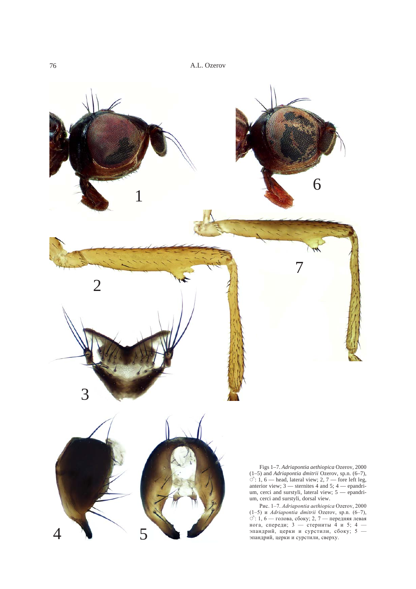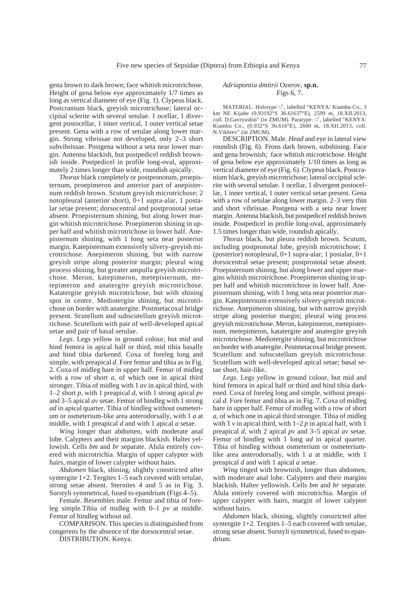gena brown to dark brown; face whitish microtrichose. Height of gena below eye approximately 1/7 times as long as vertical diameter of eye (Fig. 1). Clypeus black. Postcranium black, greyish microtrichose; lateral occipital sclerite with several setulae. 1 ocellar, 1 divergent postocellar, 1 inner vertical, 1 outer vertical setae present. Gena with a row of setulae along lower margin. Strong vibrissae not developed, only 2–3 short subvibrissae. Postgena without a seta near lower margin. Antenna blackish, but postpedicel reddish brownish inside. Postpedicel in profile long-oval, approximately 2 times longer than wide, roundish apically.

*Thorax* black completely or postpronotum, proepisternum, proepimeron and anterior part of anepisternum reddish brown. Scutum greyish microtrichose; 2 notopleural (anterior short), 0+1 supra-alar, 1 postalar setae present; dorsocentral and postpronotal setae absent. Proepisternum shining, but along lower margin whitish microtrichose. Proepimeron shining in upper half and whitish microtrichose in lower half. Anepisternum shining, with 1 long seta near posterior margin. Katepisternum extensively silvery-greyish microtrichose. Anepimeron shining, but with narrow greyish stripe along posterior margin; pleural wing process shining, but greater ampulla greyish microtrichose. Meron, katepimeron, metepisternum, metepimeron and anatergite greyish microtrichose. Katatergite greyish microtrichose, but with shining spot in centre. Mediotergite shining, but microtrichose on border with anatergite. Postmetacoxal bridge present. Scutellum and subscutellum greyish microtrichose. Scutellum with pair of well-developed apical setae and pair of basal setulae.

*Legs*. Legs yellow in ground colour, but mid and hind femora in apical half or third, mid tibia basally and hind tibia darkened. Coxa of foreleg long and simple, with preapical *d*. Fore femur and tibia as in Fig. 2. Coxa of midleg bare in upper half. Femur of midleg with a row of short *a*, of which one in apical third stronger. Tibia of midleg with 1 *av* in apical third, with 1–2 short *p*, with 1 preapical *d*, with 1 strong apical *pv* and 3–5 apical *av* setae. Femur of hindleg with 1 strong *ad* in apical quarter. Tibia of hindleg without osmeterium or osmeterium-like area anterodorsally, with 1 *a* at middle, with 1 preapical *d* and with 1 apical *a* setae.

*Wing* longer than abdomen, with moderate anal lobe. Calypters and their margins blackish. Halter yellowish. Cells *bm* and *br* separate. Alula entirely covered with microtrichia. Margin of upper calypter with hairs, margin of lower calypter without hairs.

*Abdomen* black, shining, slightly constricted after syntergite  $1+2$ . Tergites  $1-5$  each covered with setulae, strong setae absent. Sternites 4 and 5 as in Fig. 3. Surstyli symmetrical, fused to epandrium (Figs 4–5).

Female. Resembles male. Femur and tibia of foreleg simple.Tibia of midleg with 0–1 *pv* at middle. Femur of hindleg without *ad*.

COMPARISON. This species is distinguished from congerens by the absence of the dorsocentral setae.

DISTRIBUTION. Kenya.

#### *Adriapontia dmitrii* Ozerov, **sp.n.** Figs 6, 7.

MATERIAL. Holotype  $\circlearrowleft$ , labelled "KENYA: Kiambu Co., 3 km NE Kijabe (0.93192°S 36.61637°E), 2599 m, 18.XII.2013, coll. D.Gavryushin" (in ZMUM). Paratype:  $\circlearrowleft$ , labelled "KENYA: Kiambu Co., (0.932°S 36.616°E), 2600 m, 18.XII.2013, coll. N.Vikhrev" (in ZMUM).

DESCRIPTION. Male. *Head* and eye in lateral view roundish (Fig. 6). Frons dark brown, subshining. Face and gena brownish; face whitish microtrichose. Height of gena below eye approximately 1/10 times as long as vertical diameter of eye (Fig. 6). Clypeus black. Postcranium black, greyish microtrichose; lateral occipital sclerite with several setulae. 1 ocellar, 1 divergent postocellar, 1 inner vertical, 1 outer vertical setae present. Gena with a row of setulae along lower margin. 2–3 very thin and short vibrissae. Postgena with a seta near lower margin. Antenna blackish, but postpedicel reddish brown inside. Postpedicel in profile long-oval, approximately 1.5 times longer than wide, roundish apically.

*Thorax* black, but pleura reddish brown. Scutum, including postpronotal lobe, greyish microtrichose; 1 (posterior) notopleural, 0+1 supra-alar, 1 postalar, 0+1 dorsocentral setae present; postpronotal setae absent. Proepisternum shining, but along lower and upper margins whitish microtrichose. Proepimeron shining in upper half and whitish microtrichose in lower half. Anepisternum shining, with 1 long seta near posterior margin. Katepisternum extensively silvery-greyish microtrichose. Anepimeron shining, but with narrow greyish stripe along posterior margin; pleural wing process greyish microtrichose. Meron, katepimeron, metepisternum, metepimeron, katatergite and anatergite greyish microtrichose. Mediotergite shining, but microtrichose on border with anatergite. Postmetacoxal bridge present. Scutellum and subscutellum greyish microtrichose. Scutellum with well-developed apical setae; basal setae short, hair-like.

*Legs*. Legs yellow in ground colour, but mid and hind femora in apical half or third and hind tibia darkened. Coxa of foreleg long and simple, without preapical *d*. Fore femur and tibia as in Fig. 7. Coxa of midleg bare in upper half. Femur of midleg with a row of short *a*, of which one in apical third stronger. Tibia of midleg with 1 *v* in apical third, with 1–2 *p* in apical half, with 1 preapical *d*, with 2 apical *pv* and 3–5 apical *av* setae. Femur of hindleg with 1 long *ad* in apical quarter. Tibia of hindleg without osmeterium or osmeteriumlike area anterodorsally, with 1 *a* at middle, with 1 preapical *d* and with 1 apical *a* setae.

*Wing* tinged with brownish, longer than abdomen, with moderate anal lobe. Calypters and their margins blackish. Halter yellowish. Cells *bm* and *br* separate. Alula entirely covered with microtrichia. Margin of upper calypter with hairs, margin of lower calypter without hairs.

*Abdomen* black, shining, slightly constricted after syntergite 1+2. Tergites 1–5 each covered with setulae, strong setae absent. Surstyli symmetrical, fused to epandrium.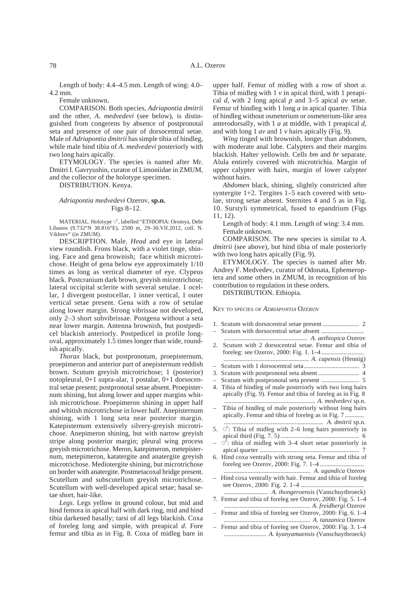Length of body: 4.4–4.5 mm. Length of wing: 4.0– 4.2 mm.

Female unknown.

COMPARISON. Both species, *Adriapontia dmitrii* and the other, *A*. *medvedevi* (see below), is distinguished from congerens by absence of postpronotal seta and presence of one pair of dorsocentral setae. Male of *Adriapontia dmitrii* has simple tibia of hindleg, while male hind tibia of *A*. *medvedevi* posteriorly with two long hairs apically.

ETYMOLOGY. The species is named after Mr. Dmitri I. Gavryushin, curator of Limoniidae in ZMUM, and the collector of the holotype specimen.

DISTRIBUTION. Kenya.

## *Adriapontia medvedevi* Ozerov, **sp.n.** Figs 8–12.

MATERIAL. Holotype  $\circ$ , labelled "ETHIOPIA: Oromya, Debr Libanos (9.732°N 38.816°E), 2500 m, 29–30.VII.2012, coll. N. Vikhrev" (in ZMUM).

DESCRIPTION. Male. *Head* and eye in lateral view roundish. Frons black, with a violet tinge, shining. Face and gena brownish; face whitish microtrichose. Height of gena below eye approximately 1/10 times as long as vertical diameter of eye. Clypeus black. Postcranium dark brown, greyish microtrichose; lateral occipital sclerite with several setulae. 1 ocellar, 1 divergent postocellar, 1 inner vertical, 1 outer vertical setae present. Gena with a row of setulae along lower margin. Strong vibrissae not developed, only 2–3 short subvibrissae. Postgena without a seta near lower margin. Antenna brownish, but postpedicel blackish anteriorly. Postpedicel in profile longoval, approximately 1.5 times longer than wide, roundish apically.

*Thorax* black, but postpronotum, proepisternum, proepimeron and anterior part of anepisternum reddish brown. Scutum greyish microtrichose; 1 (posterior) notopleural, 0+1 supra-alar, 1 postalar, 0+1 dorsocentral setae present; postpronotal setae absent. Proepisternum shining, but along lower and upper margins whitish microtrichose. Proepimeron shining in upper half and whitish microtrichose in lower half. Anepisternum shining, with 1 long seta near posterior margin. Katepisternum extensively silvery-greyish microtrichose. Anepimeron shining, but with narrow greyish stripe along posterior margin; pleural wing process greyish microtrichose. Meron, katepimeron, metepisternum, metepimeron, katatergite and anatergite greyish microtrichose. Mediotergite shining, but microtrichose on border with anatergite. Postmetacoxal bridge present. Scutellum and subscutellum greyish microtrichose. Scutellum with well-developed apical setae; basal setae short, hair-like.

*Legs*. Legs yellow in ground colour, but mid and hind femora in apical half with dark ring, mid and hind tibia darkened basally; tarsi of all legs blackish. Coxa of foreleg long and simple, with preapical *d*. Fore femur and tibia as in Fig. 8. Coxa of midleg bare in

upper half. Femur of midleg with a row of short *a*. Tibia of midleg with 1 *v* in apical third, with 1 preapical *d*, with 2 long apical *p* and 3–5 apical *av* setae. Femur of hindleg with 1 long *a* in apical quarter. Tibia of hindleg without osmeterium or osmeterium-like area anterodorsally, with 1 *a* at middle, with 1 preapical *d*, and with long 1 *av* and 1 *v* hairs apically (Fig. 9).

*Wing* tinged with brownish, longer than abdomen, with moderate anal lobe. Calypters and their margins blackish. Halter yellowish. Cells *bm* and *br* separate. Alula entirely covered with microtrichia. Margin of upper calypter with hairs, margin of lower calypter without hairs.

*Abdomen* black, shining, slightly constricted after syntergite 1+2. Tergites 1–5 each covered with setulae, strong setae absent. Sternites 4 and 5 as in Fig. 10. Surstyli symmetrical, fused to epandrium (Figs 11, 12).

Length of body: 4.1 mm. Length of wing: 3.4 mm. Female unknown.

COMPARISON. The new species is similar to *A*. *dmitrii* (see above), but hind tibia of male posteriorly with two long hairs apically (Fig. 9).

ETYMOLOGY. The species is named after Mr. Andrey F. Medvedev, curator of Odonata, Ephemeroptera and some others in ZMUM, in recognition of his contribution to regulation in these orders.

DISTRIBUTION. Ethiopia.

KEY TO SPECIES OF *ADRIAPONTIA* OZEROV

1. Scutum with dorsocentral setae present ....................... 2 – Scutum with dorsocentral setae absent ........................... ..................................................... *A. aethiopica* Ozerov 2. Scutum with 2 dorsocentral setae. Femur and tibia of foreleg: see Ozerov, 2000: Fig. 1. 1–4 ........................... ...................................................... *A. capensis* (Hennig) – Scutum with 1 dorsocentral seta ................................... 3 3. Scutum with postpronotal seta absent .......................... 4 – Scutum with postpronotal seta present ........................ 5 4. Tibia of hindleg of male posteriorly with two long hairs apically (Fig. 9). Femur and tibia of foreleg as in Fig. 8 .......................................................... *A. medvedevi* sp.n. – Tibia of hindleg of male posteriorly without long hairs apically. Femur and tibia of foreleg as in Fig. 7 ............ ............................................................... *A. dmitrii* sp.n. 5.  $\circlearrowleft$ : Tibia of midleg with 2–6 long hairs posteriorly in apical third (Fig. 7. 5) .................................................. 6  $\circlearrowleft$ : tibia of midleg with 3–4 short setae posteriorly in apical quarter ............................................................... 7 6. Hind coxa ventrally with strong seta. Femur and tibia of foreleg see Ozerov, 2000: Fig. 7. 1–4 ............................ ....................................................... *A. ugandica* Ozerov – Hind coxa ventrally with hair. Femur and tibia of foreleg see Ozerov, 2000: Fig. 2. 1–4 ........................................ ............................ *A. ihongeroensis* (Vanschuytbroeck) 7. Femur and tibia of foreleg see Ozerov, 2000: Fig. 5. 1–4 ....................................................... *A. freidbergi* Ozerov – Femur and tibia of foreleg see Ozerov, 2000: Fig. 6. 1–4 ....................................................... *A. tanzanica* Ozerov – Femur and tibia of foreleg see Ozerov, 2000: Fig. 3. 1–4 ........................... *A. kyanyamaensis* (Vanschuytbroeck)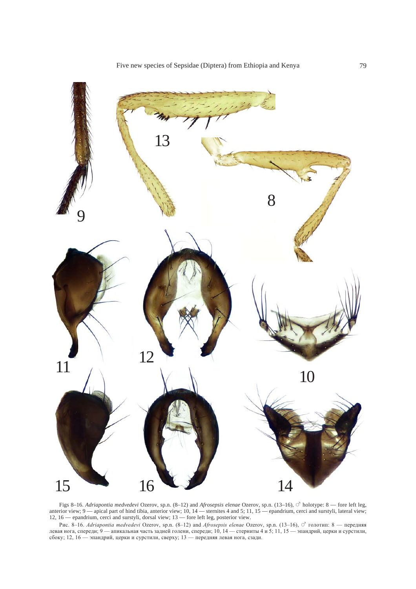

Figs 8–16. *Adriapontia medvedevi* Ozerov, sp.n. (8–12) and *Afrosepsis elenae* Ozerov, sp.n. (13–16), ○ holotype: 8 — fore left leg, anterior view; 9 — apical part of hind tibia, anterior view; 10, 14 — sternites 4 and 5; 11, 15 — epandrium, cerci and surstyli, lateral view; 12, 16 — epandrium, cerci and surstyli, dorsal view; 13 — fore left leg, posterior view.

Рис. 8-16. Adriapontia medvedevi Ozerov, sp.n. (8-12) and Afrosepsis elenae Ozerov, sp.n. (13-16), О голотип: 8 — передняя левая нога, спереди; 9 — апикальная часть задней голени, спереди; 10, 14 — стерниты 4 и 5; 11, 15 — эпандрий, церки и сурстили, сбоку; 12, 16 — эпандрий, церки и сурстили, сверху; 13 — передняя левая нога, сзади.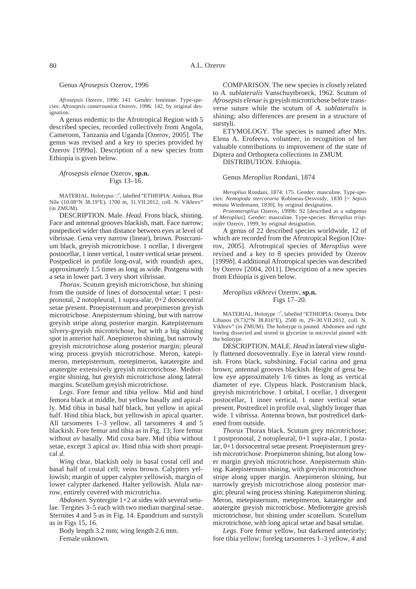#### Genus *Afrosepsis* Ozerov, 1996

*Afrosepsis* Ozerov, 1996: 141. Gender: feminine. Type-species: *Afrosepsis camerounica* Ozerov, 1996: 142, by original designation.

A genus endemic to the Afrotropical Region with 5 described species, recorded collectively from Angola, Cameroon, Tanzania and Uganda [Ozerov, 2005]. The genus was revised and a key to species provided by Ozerov [1999*a*]. Description of a new species from Ethiopia is given below.

*Afrosepsis elenae* Ozerov, **sp.n.** Figs 13–16.

MATERIAL. Holotypus  $\circlearrowleft$ , labelled "ETHIOPIA: Amhara, Blue Nile (10.08°N 38.19°E), 1700 m, 31.VII.2012, coll. N. Vikhrev" (in ZMUM).

DESCRIPTION. Male. *Head*. Frons black, shining. Face and antennal grooves blackish, matt. Face narrow; postpedicel wider than distance between eyes at level of vibrissae. Gena very narrow (linear), brown. Postcranium black, greyish microtrichose. 1 ocellar, 1 divergent postocellar, 1 inner vertical, 1 outer vertical setae present. Postpedicel in profile long-oval, with roundish apex, approximately 1.5 times as long as wide. Postgena with a seta in lower part. 3 very short vibrissae.

*Thorax*. Scutum greyish microtrichose, but shining from the outside of lines of dorsocental setae; 1 postpronotal, 2 notopleural, 1 supra-alar, 0+2 dorsocentral setae present. Proepisternum and proepimeron greyish microtrichose. Anepisternum shining, but with narrow greyish stripe along posterior margin. Katepisternum silvery-greyish microtrichose, but with a big shining spot in anterior half. Anepimeron shining, but narrowly greyish microtrichose along posterior margin; pleural wing process greyish microtrichose. Meron, katepimeron, metepisternum, metepimeron, katatergite and anatergite extensively greyish microtrichose. Mediotergite shining, but greyish microtrichose along lateral margins. Scutellum greyish microtrichose.

*Legs*. Fore femur and tibia yellow. Mid and hind femora black at middle, but yellow basally and apically. Mid tibia in basal half black, but yellow in apical half. Hind tibia black, but yellowish in apical quarter. All tarsomeres 1–3 yellow, all tarsomeres 4 and 5 blackish. Fore femur and tibia as in Fig. 13; fore femur without *av* basally. Mid coxa bare. Mid tibia without setae, except 3 apical *av*. Hind tibia with short preapical *d*.

*Wing* clear, blackish only in basal costal cell and basal half of costal cell; veins brown. Calypters yellowish; margin of upper calypter yellowish, margin of lower calypter darkened. Halter yellowish. Alula narrow, entirely covered with microtrichia.

*Abdomen*. Syntergite 1+2 at sides with several setulae. Tergites 3–5 each with two median marginal setae. Sternites 4 and 5 as in Fig. 14. Epandrium and surstyli as in Figs 15, 16.

Body length 3.2 mm; wing length 2.6 mm. Female unknown.

COMPARISON. The new species is closely related to *A. sublateralis* Vanschuytbroeck, 1962. Scutum of *Afrosepsis elenae* is greyish microtrichose before transverse suture while the scutum of *A. sublateralis* is shining; also differences are present in a structure of surstyli.

ETYMOLOGY. The species is named after Mrs. Elena A. Erofeeva, volunteer, in recognition of her valuable contributions to improvement of the state of Diptera and Orthoptera collections in ZMUM.

DISTRIBUTION. Ethiopia.

#### Genus *Meroplius* Rondani, 1874

*Meroplius* Rondani, 1874: 175. Gender: masculine. Type-species: *Nemopoda stercoraria* Robineau-Desvoidy, 1830 [= *Sepsis minuta* Wiedemann, 1830], by original designation.

*Protomeroplius* Ozerov, 1999b: 92 [described as a subgenus of *Meroplius*]. Gender: masculine. Type-species: *Meroplius trispinifer* Ozerov, 1999, by original designation.

A genus of 22 described species worldwide, 12 of which are recorded from the Afrotropical Region [Ozerov, 2005]. Afrotropical species of *Meroplius* were revised and a key to 8 species provided by Ozerov [1999*b*]. 4 additional Afrotropical species was described by Ozerov [2004, 2011]. Description of a new species from Ethiopia is given below.

#### *Meroplius vikhrevi* Ozerov, **sp.n.** Figs 17–20.

MATERIAL. Holotype  $\vec{\mathcal{O}}$ , labelled "ETHIOPIA: Oromya, Debr Libanos (9.732°N 38.816°E), 2500 m, 29–30.VII.2012, coll. N. Vikhrev" (in ZMUM). The holotype is pinned. Abdomen and right foreleg dissected and stored in glycerine in microvial pinned with the holotype.

DESCRIPTION. MALE. *Head* in lateral view slightly flattened dorsoventrally. Eye in lateral view roundish. Frons black, subshining. Facial carina and gena brown; antennal grooves blackish. Height of gena below eye approximately 1/6 times as long as vertical diameter of eye. Clypeus black. Postcranium black, greyish microtrichose. 1 orbital, 1 ocellar, 1 divergent postocellar, 1 inner vertical, 1 outer vertical setae present. Postredicel in profile oval, slightly longer than wide. 1 vibrissa. Antenna brown, but postredicel darkened from outside.

*Thorax* Thorax black. Scutum grey microtrichose; 1 postpronotal, 2 notopleural, 0+1 supra-alar, 1 postalar, 0+1 dorsocentral setae present. Proepisternum greyish microtrichose. Proepimeron shining, but along lower margin greyish microtrichose. Anepisternum shining. Katepisternum shining, with greyish microtrichose stripe along upper margin. Anepimeron shining, but narrowly greyish microtrichose along posterior margin; pleural wing process shining. Katepimeron shining. Meron, metepisternum, metepimeron, katatergite and anatergite greyish microtrichose. Mediotergite greyish microtrichose, but shining under scutellum. Scutellum microtrichose, with long apical setae and basal setulae.

*Legs*. Fore femur yellow, but darkened anteriorly; fore tibia yellow; foreleg tarsomeres 1–3 yellow, 4 and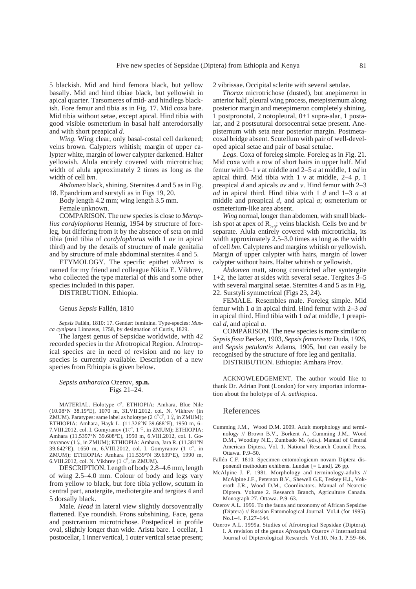5 blackish. Mid and hind femora black, but yellow basally. Mid and hind tibiae black, but yellowish in apical quarter. Tarsomeres of mid- and hindlegs blackish. Fore femur and tibia as in Fig. 17. Mid coxa bare. Mid tibia without setae, except apical. Hind tibia with good visible osmeterium in basal half anterodorsally and with short preapical *d*.

*Wing.* Wing clear, only basal-costal cell darkened; veins brown. Calypters whitish; margin of upper calypter white, margin of lower calypter darkened. Halter yellowish. Alula entirely covered with microtrichia; width of alula approximately 2 times as long as the width of cell *bm*.

*Abdomen* black, shining. Sternites 4 and 5 as in Fig. 18. Epandrium and surstyli as in Figs 19, 20.

Body length 4.2 mm; wing length 3.5 mm.

Female unknown.

COMPARISON. The new species is close to *Meroplius cordylophorus* Hennig, 1954 by structure of foreleg, but differing from it by the absence of seta on mid tibia (mid tibia of *cordylophorus* with 1 *av* in apical third) and by the details of structure of male genitalia and by structure of male abdominal sternites 4 and 5.

ETYMOLOGY. The specific epithet *vikhrevi* is named for my friend and colleague Nikita E. Vikhrev, who collected the type material of this and some other species included in this paper.

DISTRIBUTION. Ethiopia.

Genus *Sepsis* Fallén, 1810

*Sepsis* Fallén, 1810: 17. Gender: feminine. Type-species: *Musca cynipsea* Linnaeus, 1758, by designation of Curtis, 1829.

The largest genus of Sepsidae worldwide, with 42 recorded species in the Afrotropical Region. Afrotropical species are in need of revision and no key to species is currently available. Description of a new species from Ethiopia is given below.

#### *Sepsis amharaica* Ozerov, **sp.n.** Figs 21–24.

MATERIAL. Holotype  $\circlearrowleft$ , ETHIOPIA: Amhara, Blue Nile (10.08°N 38.19°E), 1070 m, 31.VII.2012, col. N. Vikhrev (in ZMUM). Paratypes: same label as holotype (2 ##, 1 \$, in ZMUM); ETHIOPIA: Amhara, Hayk L. (11.326°N 39.688°E), 1950 m, 6– 7.VIII.2012, col. I. Gomyranov  $(1\vec{\sigma}, 1\vec{\tau})$ , in ZMUM); ETHIOPIA: Amhara (11.5397°N 39.608°E), 1950 m, 6.VIII.2012, col. I. Gomyranov (1  $\frac{6}{7}$ , in ZMUM); ETHIOPIA: Amhara, Jara R. (11.381°N 39.642°E), 1650 m, 6.VIII.2012, col. I. Gomyranov  $(1 \circ ^7)$ , in ZMUM); ETHIOPIA: Amhara (11.539°N 39.639°E), 1990 m, 6.VIII.2012, col. N. Vikhrev  $(1 \circ$ <sup>7</sup>, in ZMUM).

DESCRIPTION. Length of body 2.8–4.6 mm, length of wing 2.5–4.0 mm. Colour of body and legs vary from yellow to black, but fore tibia yellow, scutum in central part, anatergite, mediotergite and tergites 4 and 5 dorsally black.

Male*. Head* in lateral view slightly dorsoventrally flattened. Eye roundish. Frons subshining. Face, gena and postcranium microtrichose. Postpedicel in profile oval, slightly longer than wide. Arista bare. 1 ocellar, 1 postocellar, 1 inner vertical, 1 outer vertical setae present; 2 vibrissae. Occipital sclerite with several setulae.

*Thorax* microtrichose (dusted), but anepimeron in anterior half, pleural wing process, metepisternum along posterior margin and metepimeron completely shining. 1 postpronotal, 2 notopleural, 0+1 supra-alar, 1 postalar, and 2 postsutural dorsocentral setae present. Anepisternum with seta near posterior margin. Postmetacoxal bridge absent. Scutellum with pair of well-developed apical setae and pair of basal setulae.

*Legs*. Coxa of foreleg simple. Foreleg as in Fig. 21. Mid coxa with a row of short hairs in upper half. Mid femur with 0–1 *v* at middle and 2–5 *a* at middle, 1 *ad* in apical third. Mid tibia with 1 *v* at middle, 2–4 *p*, 1 preapical *d* and apicals *av* and *v*. Hind femur with 2–3 *ad* in apical third. Hind tibia with 1 *d* and 1–3 *a* at middle and preapical *d*, and apical *a*; osmeterium or osmeterium-like area absent.

*Wing* normal, longer than abdomen, with small blackish spot at apex of  $R_{2+3}$ ; veins blackish. Cells *bm* and *br* separate. Alula entirely covered with microtrichia, its width approximately 2.5–3.0 times as long as the width of cell *bm*. Calypteres and margins whitish or yellowish. Margin of upper calypter with hairs, margin of lower calypter without hairs. Halter whitish or yellowish.

*Abdomen* matt, strong constricted after syntergite 1+2, the latter at sides with several setae. Tergites 3–5 with several marginal setae. Sternites 4 and 5 as in Fig. 22. Surstyli symmetrical (Figs 23, 24).

FEMALE. Resembles male. Foreleg simple. Mid femur with 1 *a* in apical third. Hind femur with 2–3 *ad* in apical third. Hind tibia with 1 *ad* at middle, 1 preapical *d*, and apical *a*.

COMPARISON. The new species is more similar to *Sepsisfissa* Becker, 1903, *Sepsisfemoriseta* Duda, 1926, and *Sepsis petulantis* Adams, 1905, but can easily be recognised by the structure of fore leg and genitalia.

DISTRIBUTION. Ethiopia: Amhara Prov.

ACKNOWLEDGEMENT. The author would like to thank Dr. Adrian Pont (London) for very importan information about the holotype of *A*. *aethiopica*.

#### References

- Cumming J.M., Wood D.M. 2009. Adult morphology and terminology // Brown B.V., Borkent A., Cumming J.M., Wood D.M., Woodley N.E., Zumbado M. (eds.). Manual of Central American Diptera. Vol. 1. National Research Council Press, Ottawa. P.9–50.
- Fallén C.F. 1810. Specimen entomologicum novam Diptera disponendi methodum exhibens. Lundae [= Lund]. 26 pp.
- McAlpine J. F. 1981. Morphology and terminology-adults // McAlpine J.F., Peterson B.V., Shewell G.E, Teskey H.J., Vokeroth J.R., Wood D.M., Coordinators. Manual of Nearctic Diptera. Volume 2. Research Branch, Agriculture Canada. Monograph 27. Ottawa. P.9–63.
- Ozerov A.L. 1996. To the fauna and taxonomy of African Sepsidae (Diptera) // Russian Entomological Journal. Vol.4 (for 1995). No.1–4. P.127–144.
- Ozerov A.L. 1999a. Studies of Afrotropical Sepsidae (Diptera). I. A revision of the genus *Afrosepsis* Ozerov // International Journal of Dipterological Research. Vol.10. No.1. P.59–66.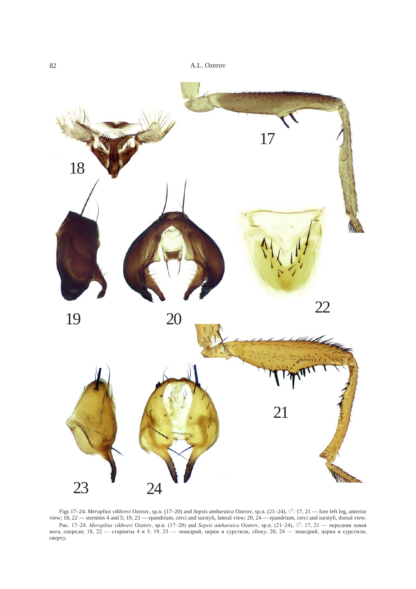

Figs 17–24. *Meroplius vikhrevi* Ozerov, sp.n. (17–20) and *Sepsis amharaica* Ozerov, sp.n. (21–24),  $\vec{C}$ : 17, 21 — fore left leg, anterior view; 18, 22 — sternites 4 and 5; 19, 23 — epandrium, cerci and surstyli, lateral view; 20, 24 — epandrium, cerci and surstyli, dorsal view. Рис. 17-24. Meroplius vikhrevi Ozerov, sp.n. (17-20) and Sepsis amharaica Ozerov, sp.n. (21-24), О<sup>2</sup>: 17, 21 — передняя левая нога, спереди; 18, 22 — стерниты 4 и 5; 19, 23 — эпандрий, церки и сурстили, сбоку; 20, 24 — эпандрий, церки и сурстили, сверху.